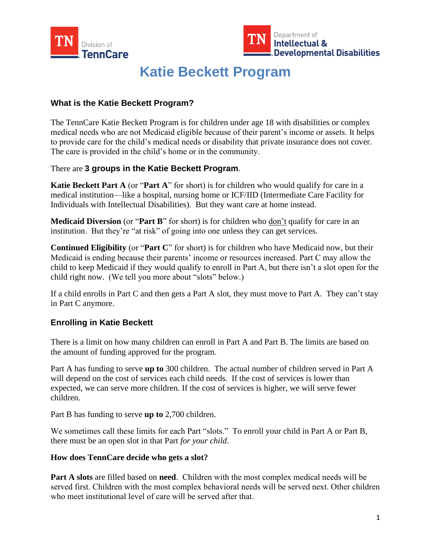



# **Katie Beckett Program**

## **What is the Katie Beckett Program?**

The TennCare Katie Beckett Program is for children under age 18 with disabilities or complex medical needs who are not Medicaid eligible because of their parent's income or assets. It helps to provide care for the child's medical needs or disability that private insurance does not cover. The care is provided in the child's home or in the community.

There are **3 groups in the Katie Beckett Program**.

**Katie Beckett Part A** (or "**Part A**" for short) is for children who would qualify for care in a medical institution—like a hospital, nursing home or ICF/IID (Intermediate Care Facility for Individuals with Intellectual Disabilities). But they want care at home instead.

**Medicaid Diversion** (or "**Part B**" for short) is for children who don't qualify for care in an institution. But they're "at risk" of going into one unless they can get services.

**Continued Eligibility** (or "**Part C**" for short) is for children who have Medicaid now, but their Medicaid is ending because their parents' income or resources increased. Part C may allow the child to keep Medicaid if they would qualify to enroll in Part A, but there isn't a slot open for the child right now. (We tell you more about "slots" below.)

If a child enrolls in Part C and then gets a Part A slot, they must move to Part A. They can't stay in Part C anymore.

## **Enrolling in Katie Beckett**

There is a limit on how many children can enroll in Part A and Part B. The limits are based on the amount of funding approved for the program.

Part A has funding to serve **up to** 300 children. The actual number of children served in Part A will depend on the cost of services each child needs. If the cost of services is lower than expected, we can serve more children. If the cost of services is higher, we will serve fewer children.

Part B has funding to serve **up to** 2,700 children.

We sometimes call these limits for each Part "slots." To enroll your child in Part A or Part B, there must be an open slot in that Part *for your child*.

#### **How does TennCare decide who gets a slot?**

**Part A slots** are filled based on **need**. Children with the most complex medical needs will be served first. Children with the most complex behavioral needs will be served next. Other children who meet institutional level of care will be served after that.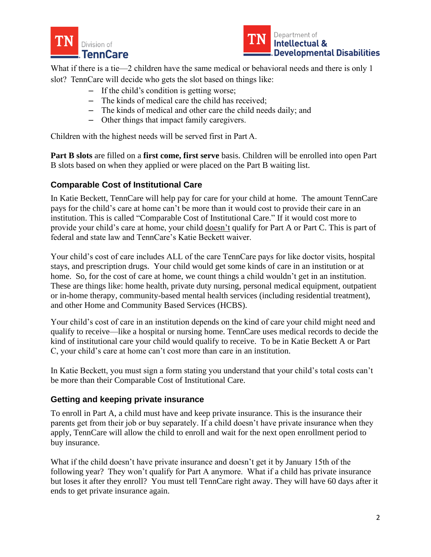



What if there is a tie—2 children have the same medical or behavioral needs and there is only 1 slot? TennCare will decide who gets the slot based on things like:

- If the child's condition is getting worse;
- The kinds of medical care the child has received;
- The kinds of medical and other care the child needs daily; and
- Other things that impact family caregivers.

Children with the highest needs will be served first in Part A.

**Part B slots** are filled on a **first come, first serve** basis. Children will be enrolled into open Part B slots based on when they applied or were placed on the Part B waiting list.

# **Comparable Cost of Institutional Care**

In Katie Beckett, TennCare will help pay for care for your child at home. The amount TennCare pays for the child's care at home can't be more than it would cost to provide their care in an institution. This is called "Comparable Cost of Institutional Care." If it would cost more to provide your child's care at home, your child doesn't qualify for Part A or Part C. This is part of federal and state law and TennCare's Katie Beckett waiver.

Your child's cost of care includes ALL of the care TennCare pays for like doctor visits, hospital stays, and prescription drugs. Your child would get some kinds of care in an institution or at home. So, for the cost of care at home, we count things a child wouldn't get in an institution. These are things like: home health, private duty nursing, personal medical equipment, outpatient or in-home therapy, community-based mental health services (including residential treatment), and other Home and Community Based Services (HCBS).

Your child's cost of care in an institution depends on the kind of care your child might need and qualify to receive—like a hospital or nursing home. TennCare uses medical records to decide the kind of institutional care your child would qualify to receive. To be in Katie Beckett A or Part C, your child's care at home can't cost more than care in an institution.

In Katie Beckett, you must sign a form stating you understand that your child's total costs can't be more than their Comparable Cost of Institutional Care.

## **Getting and keeping private insurance**

To enroll in Part A, a child must have and keep private insurance. This is the insurance their parents get from their job or buy separately. If a child doesn't have private insurance when they apply, TennCare will allow the child to enroll and wait for the next open enrollment period to buy insurance.

What if the child doesn't have private insurance and doesn't get it by January 15th of the following year? They won't qualify for Part A anymore. What if a child has private insurance but loses it after they enroll? You must tell TennCare right away. They will have 60 days after it ends to get private insurance again.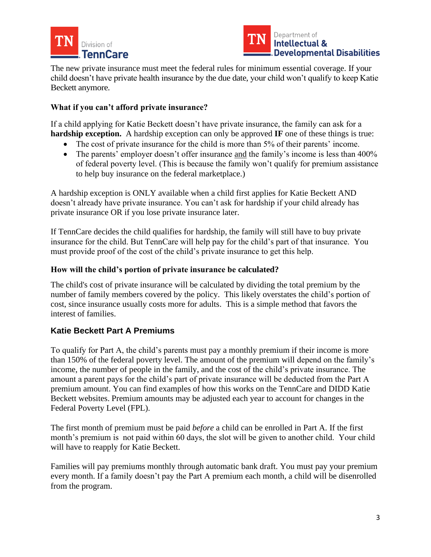



The new private insurance must meet the federal rules for minimum essential coverage. If your child doesn't have private health insurance by the due date, your child won't qualify to keep Katie Beckett anymore.

## **What if you can't afford private insurance?**

If a child applying for Katie Beckett doesn't have private insurance, the family can ask for a **hardship exception.** A hardship exception can only be approved **IF** one of these things is true:

- The cost of private insurance for the child is more than 5% of their parents' income.
- The parents' employer doesn't offer insurance and the family's income is less than 400% of federal poverty level. (This is because the family won't qualify for premium assistance to help buy insurance on the federal marketplace.)

A hardship exception is ONLY available when a child first applies for Katie Beckett AND doesn't already have private insurance. You can't ask for hardship if your child already has private insurance OR if you lose private insurance later.

If TennCare decides the child qualifies for hardship, the family will still have to buy private insurance for the child. But TennCare will help pay for the child's part of that insurance. You must provide proof of the cost of the child's private insurance to get this help.

## **How will the child's portion of private insurance be calculated?**

The child's cost of private insurance will be calculated by dividing the total premium by the number of family members covered by the policy. This likely overstates the child's portion of cost, since insurance usually costs more for adults. This is a simple method that favors the interest of families.

# **Katie Beckett Part A Premiums**

To qualify for Part A, the child's parents must pay a monthly premium if their income is more than 150% of the federal poverty level. The amount of the premium will depend on the family's income, the number of people in the family, and the cost of the child's private insurance. The amount a parent pays for the child's part of private insurance will be deducted from the Part A premium amount. You can find examples of how this works on the TennCare and DIDD Katie Beckett websites. Premium amounts may be adjusted each year to account for changes in the Federal Poverty Level (FPL).

The first month of premium must be paid *before* a child can be enrolled in Part A. If the first month's premium is not paid within 60 days, the slot will be given to another child. Your child will have to reapply for Katie Beckett.

Families will pay premiums monthly through automatic bank draft. You must pay your premium every month. If a family doesn't pay the Part A premium each month, a child will be disenrolled from the program.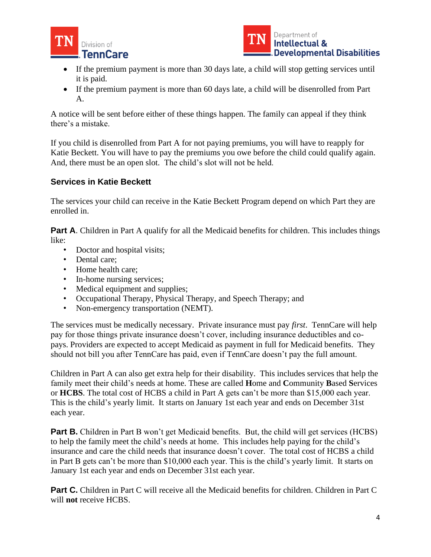![](_page_3_Picture_0.jpeg)

![](_page_3_Picture_1.jpeg)

- If the premium payment is more than 30 days late, a child will stop getting services until it is paid.
- If the premium payment is more than 60 days late, a child will be disenrolled from Part A.

A notice will be sent before either of these things happen. The family can appeal if they think there's a mistake.

If you child is disenrolled from Part A for not paying premiums, you will have to reapply for Katie Beckett. You will have to pay the premiums you owe before the child could qualify again. And, there must be an open slot. The child's slot will not be held.

# **Services in Katie Beckett**

The services your child can receive in the Katie Beckett Program depend on which Part they are enrolled in.

**Part A.** Children in Part A qualify for all the Medicaid benefits for children. This includes things like:

- Doctor and hospital visits;
- Dental care;
- Home health care:
- In-home nursing services;
- Medical equipment and supplies;
- Occupational Therapy, Physical Therapy, and Speech Therapy; and
- Non-emergency transportation (NEMT).

The services must be medically necessary. Private insurance must pay *first*. TennCare will help pay for those things private insurance doesn't cover, including insurance deductibles and copays. Providers are expected to accept Medicaid as payment in full for Medicaid benefits. They should not bill you after TennCare has paid, even if TennCare doesn't pay the full amount.

Children in Part A can also get extra help for their disability. This includes services that help the family meet their child's needs at home. These are called **H**ome and **C**ommunity **B**ased **S**ervices or **HCBS**. The total cost of HCBS a child in Part A gets can't be more than \$15,000 each year. This is the child's yearly limit. It starts on January 1st each year and ends on December 31st each year.

**Part B.** Children in Part B won't get Medicaid benefits. But, the child will get services (HCBS) to help the family meet the child's needs at home. This includes help paying for the child's insurance and care the child needs that insurance doesn't cover. The total cost of HCBS a child in Part B gets can't be more than \$10,000 each year. This is the child's yearly limit. It starts on January 1st each year and ends on December 31st each year.

**Part C.** Children in Part C will receive all the Medicaid benefits for children. Children in Part C will **not** receive HCBS.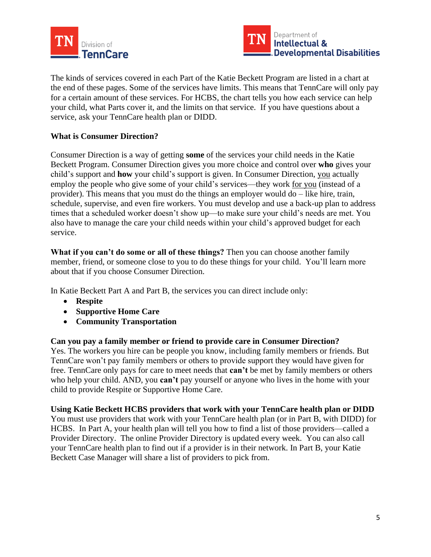![](_page_4_Picture_0.jpeg)

![](_page_4_Picture_1.jpeg)

The kinds of services covered in each Part of the Katie Beckett Program are listed in a chart at the end of these pages. Some of the services have limits. This means that TennCare will only pay for a certain amount of these services. For HCBS, the chart tells you how each service can help your child, what Parts cover it, and the limits on that service. If you have questions about a service, ask your TennCare health plan or DIDD.

#### **What is Consumer Direction?**

Consumer Direction is a way of getting **some** of the services your child needs in the Katie Beckett Program. Consumer Direction gives you more choice and control over **who** gives your child's support and **how** your child's support is given. In Consumer Direction, you actually employ the people who give some of your child's services—they work for you (instead of a provider). This means that you must do the things an employer would do – like hire, train, schedule, supervise, and even fire workers. You must develop and use a back-up plan to address times that a scheduled worker doesn't show up—to make sure your child's needs are met. You also have to manage the care your child needs within your child's approved budget for each service.

**What if you can't do some or all of these things?** Then you can choose another family member, friend, or someone close to you to do these things for your child. You'll learn more about that if you choose Consumer Direction.

In Katie Beckett Part A and Part B, the services you can direct include only:

- **Respite**
- **Supportive Home Care**
- **Community Transportation**

#### **Can you pay a family member or friend to provide care in Consumer Direction?**

Yes. The workers you hire can be people you know, including family members or friends. But TennCare won't pay family members or others to provide support they would have given for free. TennCare only pays for care to meet needs that **can't** be met by family members or others who help your child. AND, you **can't** pay yourself or anyone who lives in the home with your child to provide Respite or Supportive Home Care.

#### **Using Katie Beckett HCBS providers that work with your TennCare health plan or DIDD**

You must use providers that work with your TennCare health plan (or in Part B, with DIDD) for HCBS. In Part A, your health plan will tell you how to find a list of those providers—called a Provider Directory. The online Provider Directory is updated every week. You can also call your TennCare health plan to find out if a provider is in their network. In Part B, your Katie Beckett Case Manager will share a list of providers to pick from.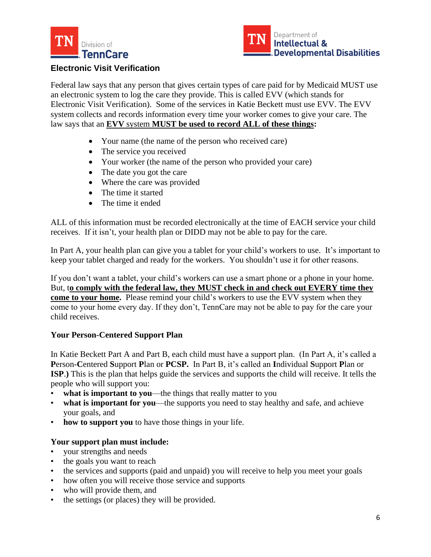![](_page_5_Picture_0.jpeg)

![](_page_5_Picture_1.jpeg)

# **Electronic Visit Verification**

Federal law says that any person that gives certain types of care paid for by Medicaid MUST use an electronic system to log the care they provide. This is called EVV (which stands for Electronic Visit Verification). Some of the services in Katie Beckett must use EVV. The EVV system collects and records information every time your worker comes to give your care. The law says that an **EVV** system **MUST be used to record ALL of these things:**

- Your name (the name of the person who received care)
- The service you received
- Your worker (the name of the person who provided your care)
- The date you got the care
- Where the care was provided
- The time it started
- The time it ended

ALL of this information must be recorded electronically at the time of EACH service your child receives. If it isn't, your health plan or DIDD may not be able to pay for the care.

In Part A, your health plan can give you a tablet for your child's workers to use. It's important to keep your tablet charged and ready for the workers. You shouldn't use it for other reasons.

If you don't want a tablet, your child's workers can use a smart phone or a phone in your home. But, t**o comply with the federal law, they MUST check in and check out EVERY time they come to your home.** Please remind your child's workers to use the EVV system when they come to your home every day. If they don't, TennCare may not be able to pay for the care your child receives.

## **Your Person-Centered Support Plan**

In Katie Beckett Part A and Part B, each child must have a support plan. (In Part A, it's called a **P**erson-**C**entered **S**upport **P**lan or **PCSP.** In Part B, it's called an **I**ndividual **S**upport **P**lan or **ISP**.**)** This is the plan that helps guide the services and supports the child will receive. It tells the people who will support you:

- what is important to you—the things that really matter to you
- **what is important for you**—the supports you need to stay healthy and safe, and achieve your goals, and
- how to support you to have those things in your life.

## **Your support plan must include:**

- your strengths and needs
- the goals you want to reach
- the services and supports (paid and unpaid) you will receive to help you meet your goals
- how often you will receive those service and supports
- who will provide them, and
- the settings (or places) they will be provided.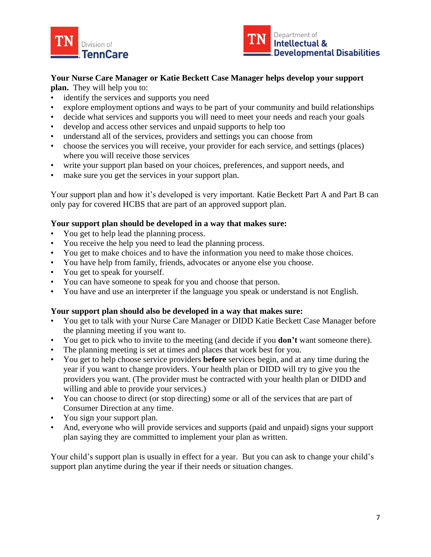![](_page_6_Picture_0.jpeg)

![](_page_6_Picture_1.jpeg)

# **Your Nurse Care Manager or Katie Beckett Case Manager helps develop your support**

**plan.** They will help you to:

- identify the services and supports you need
- explore employment options and ways to be part of your community and build relationships
- decide what services and supports you will need to meet your needs and reach your goals
- develop and access other services and unpaid supports to help too
- understand all of the services, providers and settings you can choose from
- choose the services you will receive, your provider for each service, and settings (places) where you will receive those services
- write your support plan based on your choices, preferences, and support needs, and
- make sure you get the services in your support plan.

Your support plan and how it's developed is very important. Katie Beckett Part A and Part B can only pay for covered HCBS that are part of an approved support plan.

# **Your support plan should be developed in a way that makes sure:**

- You get to help lead the planning process.
- You receive the help you need to lead the planning process.
- You get to make choices and to have the information you need to make those choices.
- You have help from family, friends, advocates or anyone else you choose.
- You get to speak for yourself.
- You can have someone to speak for you and choose that person.
- You have and use an interpreter if the language you speak or understand is not English.

## **Your support plan should also be developed in a way that makes sure:**

- You get to talk with your Nurse Care Manager or DIDD Katie Beckett Case Manager before the planning meeting if you want to.
- You get to pick who to invite to the meeting (and decide if you **don't** want someone there).
- The planning meeting is set at times and places that work best for you.
- You get to help choose service providers **before** services begin, and at any time during the year if you want to change providers. Your health plan or DIDD will try to give you the providers you want. (The provider must be contracted with your health plan or DIDD and willing and able to provide your services.)
- You can choose to direct (or stop directing) some or all of the services that are part of Consumer Direction at any time.
- You sign your support plan.
- And, everyone who will provide services and supports (paid and unpaid) signs your support plan saying they are committed to implement your plan as written.

Your child's support plan is usually in effect for a year. But you can ask to change your child's support plan anytime during the year if their needs or situation changes.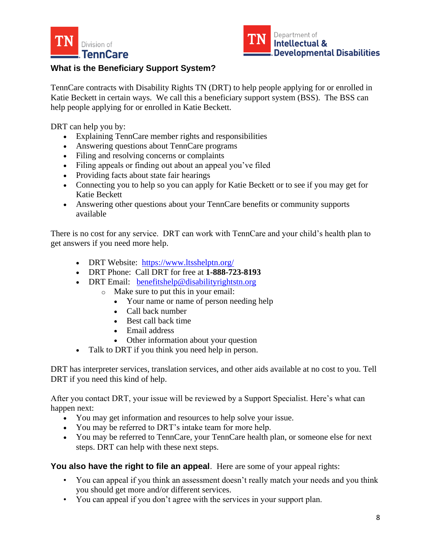![](_page_7_Picture_0.jpeg)

![](_page_7_Picture_1.jpeg)

# **What is the Beneficiary Support System?**

TennCare contracts with Disability Rights TN (DRT) to help people applying for or enrolled in Katie Beckett in certain ways. We call this a beneficiary support system (BSS). The BSS can help people applying for or enrolled in Katie Beckett.

DRT can help you by:

- Explaining TennCare member rights and responsibilities
- Answering questions about TennCare programs
- Filing and resolving concerns or complaints
- Filing appeals or finding out about an appeal you've filed
- Providing facts about state fair hearings
- Connecting you to help so you can apply for Katie Beckett or to see if you may get for Katie Beckett
- Answering other questions about your TennCare benefits or community supports available

There is no cost for any service. DRT can work with TennCare and your child's health plan to get answers if you need more help.

- DRT Website: <https://www.ltsshelptn.org/>
- DRT Phone: Call DRT for free at **1-888-723-8193**
- DRT Email: [benefitshelp@disabilityrightstn.org](mailto:benefitshelp@disabilityrightstn.org)
	- o Make sure to put this in your email:
		- Your name or name of person needing help
		- Call back number
		- Best call back time
		- Email address
		- Other information about your question
- Talk to DRT if you think you need help in person.

DRT has interpreter services, translation services, and other aids available at no cost to you. Tell DRT if you need this kind of help.

After you contact DRT, your issue will be reviewed by a Support Specialist. Here's what can happen next:

- You may get information and resources to help solve your issue.
- You may be referred to DRT's intake team for more help.
- You may be referred to TennCare, your TennCare health plan, or someone else for next steps. DRT can help with these next steps.

**You also have the right to file an appeal**. Here are some of your appeal rights:

- You can appeal if you think an assessment doesn't really match your needs and you think you should get more and/or different services.
- You can appeal if you don't agree with the services in your support plan.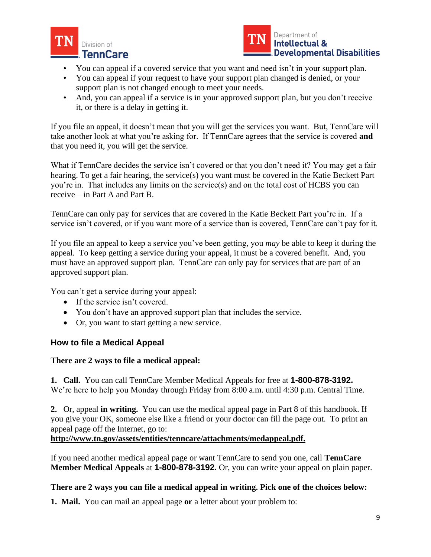![](_page_8_Picture_0.jpeg)

![](_page_8_Picture_1.jpeg)

- You can appeal if a covered service that you want and need isn't in your support plan.
- You can appeal if your request to have your support plan changed is denied, or your support plan is not changed enough to meet your needs.
- And, you can appeal if a service is in your approved support plan, but you don't receive it, or there is a delay in getting it.

If you file an appeal, it doesn't mean that you will get the services you want. But, TennCare will take another look at what you're asking for. If TennCare agrees that the service is covered **and** that you need it, you will get the service.

What if TennCare decides the service isn't covered or that you don't need it? You may get a fair hearing. To get a fair hearing, the service(s) you want must be covered in the Katie Beckett Part you're in. That includes any limits on the service(s) and on the total cost of HCBS you can receive—in Part A and Part B.

TennCare can only pay for services that are covered in the Katie Beckett Part you're in. If a service isn't covered, or if you want more of a service than is covered, TennCare can't pay for it.

If you file an appeal to keep a service you've been getting, you *may* be able to keep it during the appeal. To keep getting a service during your appeal, it must be a covered benefit. And, you must have an approved support plan. TennCare can only pay for services that are part of an approved support plan.

You can't get a service during your appeal:

- If the service isn't covered.
- You don't have an approved support plan that includes the service.
- Or, you want to start getting a new service.

## **How to file a Medical Appeal**

#### **There are 2 ways to file a medical appeal:**

**1. Call.** You can call TennCare Member Medical Appeals for free at **1-800-878-3192.** We're here to help you Monday through Friday from 8:00 a.m. until 4:30 p.m. Central Time.

**2.** Or, appeal **in writing.** You can use the medical appeal page in Part 8 of this handbook. If you give your OK, someone else like a friend or your doctor can fill the page out. To print an appeal page off the Internet, go to:

**http://www.tn.gov/assets/entities/tenncare/attachments/medappeal.pdf.**

If you need another medical appeal page or want TennCare to send you one, call **TennCare Member Medical Appeals** at **1-800-878-3192.** Or, you can write your appeal on plain paper.

#### **There are 2 ways you can file a medical appeal in writing. Pick one of the choices below:**

**1. Mail.** You can mail an appeal page **or** a letter about your problem to: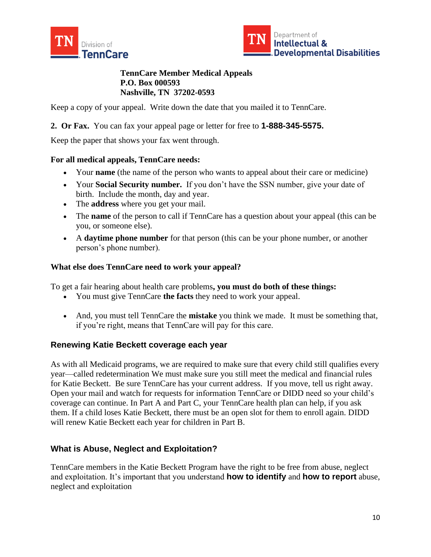![](_page_9_Picture_0.jpeg)

![](_page_9_Picture_1.jpeg)

**TennCare Member Medical Appeals P.O. Box 000593 Nashville, TN 37202-0593**

Keep a copy of your appeal. Write down the date that you mailed it to TennCare.

**2. Or Fax.** You can fax your appeal page or letter for free to **1-888-345-5575.**

Keep the paper that shows your fax went through.

#### **For all medical appeals, TennCare needs:**

- Your **name** (the name of the person who wants to appeal about their care or medicine)
- Your **Social Security number.** If you don't have the SSN number, give your date of birth. Include the month, day and year.
- The **address** where you get your mail.
- The **name** of the person to call if TennCare has a question about your appeal (this can be you, or someone else).
- A **daytime phone number** for that person (this can be your phone number, or another person's phone number).

#### **What else does TennCare need to work your appeal?**

To get a fair hearing about health care problems**, you must do both of these things:**

- You must give TennCare **the facts** they need to work your appeal.
- And, you must tell TennCare the **mistake** you think we made. It must be something that, if you're right, means that TennCare will pay for this care.

## **Renewing Katie Beckett coverage each year**

As with all Medicaid programs, we are required to make sure that every child still qualifies every year—called redetermination We must make sure you still meet the medical and financial rules for Katie Beckett. Be sure TennCare has your current address. If you move, tell us right away. Open your mail and watch for requests for information TennCare or DIDD need so your child's coverage can continue. In Part A and Part C, your TennCare health plan can help, if you ask them. If a child loses Katie Beckett, there must be an open slot for them to enroll again. DIDD will renew Katie Beckett each year for children in Part B.

## **What is Abuse, Neglect and Exploitation?**

TennCare members in the Katie Beckett Program have the right to be free from abuse, neglect and exploitation. It's important that you understand **how to identify** and **how to report** abuse, neglect and exploitation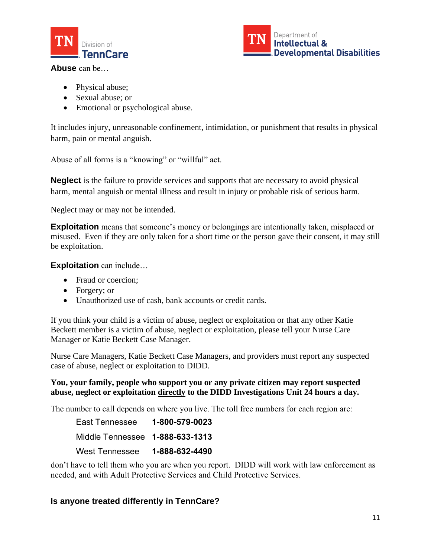![](_page_10_Picture_0.jpeg)

![](_page_10_Picture_1.jpeg)

**Abuse** can be…

- Physical abuse;
- Sexual abuse; or
- Emotional or psychological abuse.

It includes injury, unreasonable confinement, intimidation, or punishment that results in physical harm, pain or mental anguish.

Abuse of all forms is a "knowing" or "willful" act.

**Neglect** is the failure to provide services and supports that are necessary to avoid physical harm, mental anguish or mental illness and result in injury or probable risk of serious harm.

Neglect may or may not be intended.

**Exploitation** means that someone's money or belongings are intentionally taken, misplaced or misused. Even if they are only taken for a short time or the person gave their consent, it may still be exploitation.

**Exploitation** can include…

- Fraud or coercion;
- Forgery; or
- Unauthorized use of cash, bank accounts or credit cards.

If you think your child is a victim of abuse, neglect or exploitation or that any other Katie Beckett member is a victim of abuse, neglect or exploitation, please tell your Nurse Care Manager or Katie Beckett Case Manager.

Nurse Care Managers, Katie Beckett Case Managers, and providers must report any suspected case of abuse, neglect or exploitation to DIDD.

# **You, your family, people who support you or any private citizen may report suspected abuse, neglect or exploitation directly to the DIDD Investigations Unit 24 hours a day.**

The number to call depends on where you live. The toll free numbers for each region are:

| East Tennessee        | 1-800-579-0023 |
|-----------------------|----------------|
|                       |                |
| <b>West Tennessee</b> | 1-888-632-4490 |

don't have to tell them who you are when you report. DIDD will work with law enforcement as needed, and with Adult Protective Services and Child Protective Services.

# **Is anyone treated differently in TennCare?**